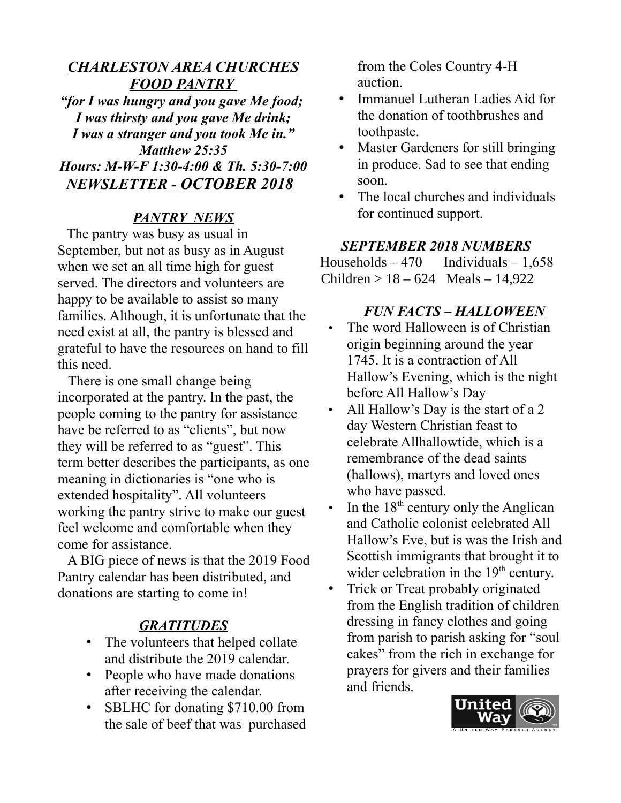# *CHARLESTON AREA CHURCHES FOOD PANTRY "for I was hungry and you gave Me food; I was thirsty and you gave Me drink; I was a stranger and you took Me in." Matthew 25:35 Hours: M-W-F 1:30-4:00 & Th. 5:30-7:00 NEWSLETTER - OCTOBER 2018*

### *PANTRY NEWS*

 The pantry was busy as usual in September, but not as busy as in August when we set an all time high for guest served. The directors and volunteers are happy to be available to assist so many families. Although, it is unfortunate that the need exist at all, the pantry is blessed and grateful to have the resources on hand to fill this need.

 There is one small change being incorporated at the pantry. In the past, the people coming to the pantry for assistance have be referred to as "clients", but now they will be referred to as "guest". This term better describes the participants, as one meaning in dictionaries is "one who is extended hospitality". All volunteers working the pantry strive to make our guest feel welcome and comfortable when they come for assistance.

 A BIG piece of news is that the 2019 Food Pantry calendar has been distributed, and donations are starting to come in!

## *GRATITUDES*

- The volunteers that helped collate and distribute the 2019 calendar.
- People who have made donations after receiving the calendar.
- SBLHC for donating \$710.00 from the sale of beef that was purchased

from the Coles Country 4-H auction.

- Immanuel Lutheran Ladies Aid for the donation of toothbrushes and toothpaste.
- Master Gardeners for still bringing in produce. Sad to see that ending soon.
- The local churches and individuals for continued support.

### *SEPTEMBER 2018 NUMBERS*

Households  $-470$  Individuals  $-1,658$ Children > 18 – 624 Meals – 14,922

## *FUN FACTS – HALLOWEEN*

- The word Halloween is of Christian origin beginning around the year 1745. It is a contraction of All Hallow's Evening, which is the night before All Hallow's Day
- All Hallow's Day is the start of a 2 day Western Christian feast to celebrate Allhallowtide, which is a remembrance of the dead saints (hallows), martyrs and loved ones who have passed.
- In the  $18<sup>th</sup>$  century only the Anglican and Catholic colonist celebrated All Hallow's Eve, but is was the Irish and Scottish immigrants that brought it to wider celebration in the  $19<sup>th</sup>$  century.
- Trick or Treat probably originated from the English tradition of children dressing in fancy clothes and going from parish to parish asking for "soul cakes" from the rich in exchange for prayers for givers and their families and friends.